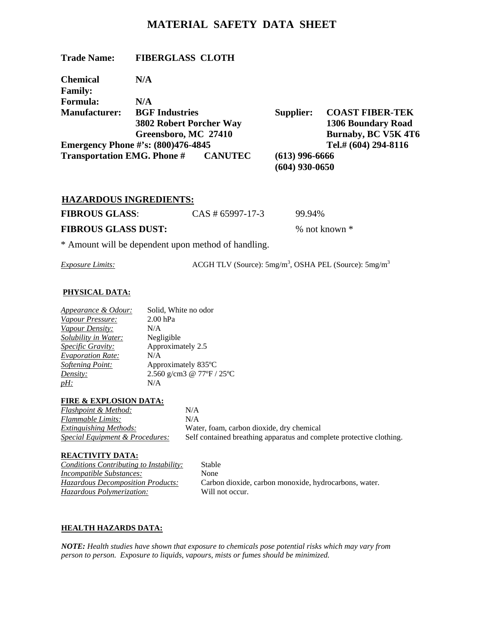# **MATERIAL SAFETY DATA SHEET**

| <b>Trade Name:</b>                 | <b>FIBERGLASS CLOTH</b>                   |                  |                            |
|------------------------------------|-------------------------------------------|------------------|----------------------------|
| <b>Chemical</b>                    | N/A                                       |                  |                            |
| <b>Family:</b>                     |                                           |                  |                            |
| <b>Formula:</b>                    | N/A                                       |                  |                            |
| <b>Manufacturer:</b>               | <b>BGF</b> Industries                     | <b>Supplier:</b> | <b>COAST FIBER-TEK</b>     |
|                                    | <b>3802 Robert Porcher Way</b>            |                  | <b>1306 Boundary Road</b>  |
|                                    | Greensboro, MC 27410                      |                  | <b>Burnaby, BC V5K 4T6</b> |
|                                    | <b>Emergency Phone #'s: (800)476-4845</b> |                  | Tel.# (604) 294-8116       |
| <b>Transportation EMG. Phone #</b> | <b>CANUTEC</b>                            | $(613)$ 996-6666 |                            |
|                                    |                                           | $(604)$ 930-0650 |                            |

| <b>HAZARDOUS INGREDIENTS:</b> |                     |                 |
|-------------------------------|---------------------|-----------------|
| <b>FIBROUS GLASS:</b>         | $CAS \# 65997-17-3$ | 99.94%          |
| <b>FIBROUS GLASS DUST:</b>    |                     | % not known $*$ |
|                               |                     |                 |

\* Amount will be dependent upon method of handling.

*Exposure Limits:* ACGH TLV (Source): 5mg/m<sup>3</sup>, OSHA PEL (Source): 5mg/m<sup>3</sup>

#### **PHYSICAL DATA:**

| Appearance & Odour:      | Solid, White no odor      |
|--------------------------|---------------------------|
| Vapour Pressure:         | $2.00$ hPa                |
| Vapour Density:          | N/A                       |
| Solubility in Water:     | Negligible                |
| <b>Specific Gravity:</b> | Approximately 2.5         |
| <b>Evaporation Rate:</b> | N/A                       |
| <b>Softening Point:</b>  | Approximately 835°C       |
| Density:                 | 2.560 g/cm3 @ 77°F / 25°C |
| $pH$ :                   | N/A                       |
|                          |                           |

#### **FIRE & EXPLOSION DATA:**

| <b>Flashpoint &amp; Method:</b>            | N/A      |
|--------------------------------------------|----------|
| Flammable Limits:                          | N/A      |
| <b>Extinguishing Methods:</b>              | Water, f |
| <b>Special Equipment &amp; Procedures:</b> | Self con |

*Extinguishing Methods:* Water, foam, carbon dioxide, dry chemical *stained breathing apparatus and complete protective clothing.* 

## **REACTIVITY DATA:**

*Conditions Contributing to Instability:* Stable *Incompatible Substances:* None *Hazardous Polymerization:* Will not occur.

*Hazardous Decomposition Products:* Carbon dioxide, carbon monoxide, hydrocarbons, water.

## **HEALTH HAZARDS DATA:**

*NOTE: Health studies have shown that exposure to chemicals pose potential risks which may vary from person to person. Exposure to liquids, vapours, mists or fumes should be minimized.*